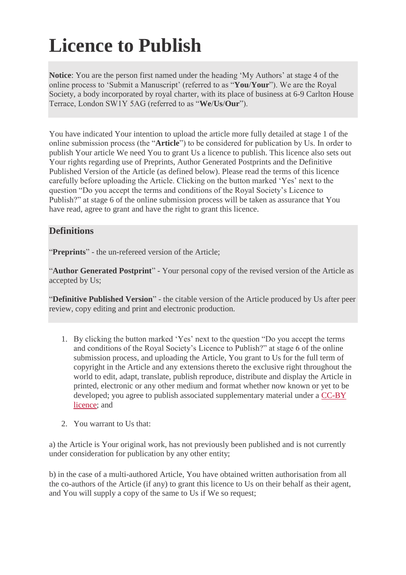## **Licence to Publish**

**Notice**: You are the person first named under the heading 'My Authors' at stage 4 of the online process to 'Submit a Manuscript' (referred to as "**You**/**Your**"). We are the Royal Society, a body incorporated by royal charter, with its place of business at 6-9 Carlton House Terrace, London SW1Y 5AG (referred to as "**We**/**Us**/**Our**").

You have indicated Your intention to upload the article more fully detailed at stage 1 of the online submission process (the "**Article**") to be considered for publication by Us. In order to publish Your article We need You to grant Us a licence to publish. This licence also sets out Your rights regarding use of Preprints, Author Generated Postprints and the Definitive Published Version of the Article (as defined below). Please read the terms of this licence carefully before uploading the Article. Clicking on the button marked 'Yes' next to the question "Do you accept the terms and conditions of the Royal Society's Licence to Publish?" at stage 6 of the online submission process will be taken as assurance that You have read, agree to grant and have the right to grant this licence.

## **Definitions**

"**Preprints**" - the un-refereed version of the Article;

"**Author Generated Postprint**" - Your personal copy of the revised version of the Article as accepted by Us;

"**Definitive Published Version**" - the citable version of the Article produced by Us after peer review, copy editing and print and electronic production.

- 1. By clicking the button marked 'Yes' next to the question "Do you accept the terms and conditions of the Royal Society's Licence to Publish?" at stage 6 of the online submission process, and uploading the Article, You grant to Us for the full term of copyright in the Article and any extensions thereto the exclusive right throughout the world to edit, adapt, translate, publish reproduce, distribute and display the Article in printed, electronic or any other medium and format whether now known or yet to be developed; you agree to publish associated supplementary material under a CC-BY [licence;](http://creativecommons.org/licenses/by/4.0/) and
- 2. You warrant to Us that:

a) the Article is Your original work, has not previously been published and is not currently under consideration for publication by any other entity;

b) in the case of a multi-authored Article, You have obtained written authorisation from all the co-authors of the Article (if any) to grant this licence to Us on their behalf as their agent, and You will supply a copy of the same to Us if We so request;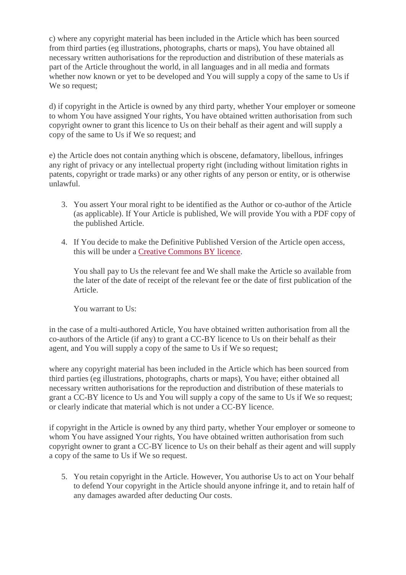c) where any copyright material has been included in the Article which has been sourced from third parties (eg illustrations, photographs, charts or maps), You have obtained all necessary written authorisations for the reproduction and distribution of these materials as part of the Article throughout the world, in all languages and in all media and formats whether now known or yet to be developed and You will supply a copy of the same to Us if We so request;

d) if copyright in the Article is owned by any third party, whether Your employer or someone to whom You have assigned Your rights, You have obtained written authorisation from such copyright owner to grant this licence to Us on their behalf as their agent and will supply a copy of the same to Us if We so request; and

e) the Article does not contain anything which is obscene, defamatory, libellous, infringes any right of privacy or any intellectual property right (including without limitation rights in patents, copyright or trade marks) or any other rights of any person or entity, or is otherwise unlawful.

- 3. You assert Your moral right to be identified as the Author or co-author of the Article (as applicable). If Your Article is published, We will provide You with a PDF copy of the published Article.
- 4. If You decide to make the Definitive Published Version of the Article open access, this will be under a [Creative Commons BY licence.](http://creativecommons.org/licenses/by/4.0/)

You shall pay to Us the relevant fee and We shall make the Article so available from the later of the date of receipt of the relevant fee or the date of first publication of the Article.

You warrant to Us:

in the case of a multi-authored Article, You have obtained written authorisation from all the co-authors of the Article (if any) to grant a CC-BY licence to Us on their behalf as their agent, and You will supply a copy of the same to Us if We so request;

where any copyright material has been included in the Article which has been sourced from third parties (eg illustrations, photographs, charts or maps), You have; either obtained all necessary written authorisations for the reproduction and distribution of these materials to grant a CC-BY licence to Us and You will supply a copy of the same to Us if We so request; or clearly indicate that material which is not under a CC-BY licence.

if copyright in the Article is owned by any third party, whether Your employer or someone to whom You have assigned Your rights, You have obtained written authorisation from such copyright owner to grant a CC-BY licence to Us on their behalf as their agent and will supply a copy of the same to Us if We so request.

5. You retain copyright in the Article. However, You authorise Us to act on Your behalf to defend Your copyright in the Article should anyone infringe it, and to retain half of any damages awarded after deducting Our costs.